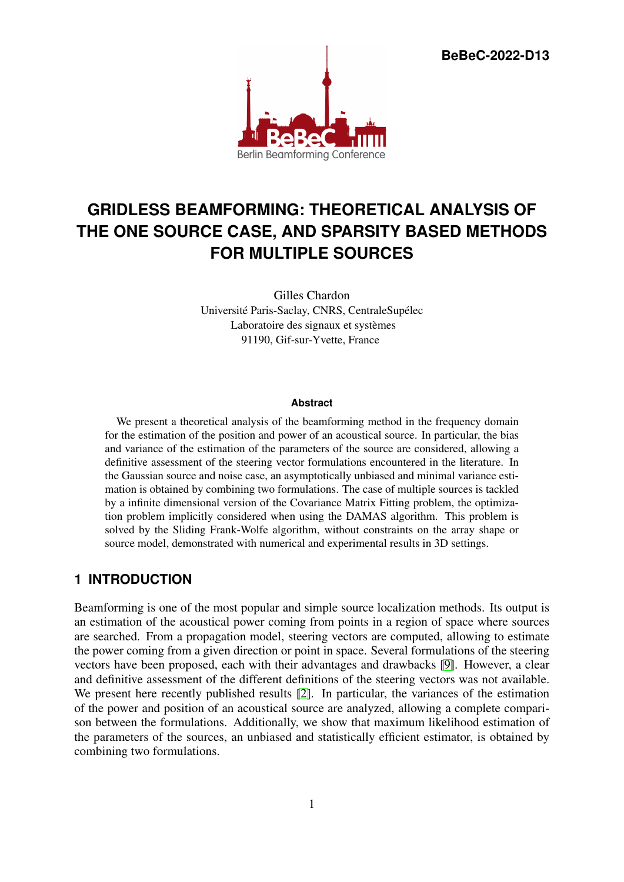**BeBeC-2022-D13**



# **GRIDLESS BEAMFORMING: THEORETICAL ANALYSIS OF THE ONE SOURCE CASE, AND SPARSITY BASED METHODS FOR MULTIPLE SOURCES**

Gilles Chardon Université Paris-Saclay, CNRS, CentraleSupélec Laboratoire des signaux et systèmes 91190, Gif-sur-Yvette, France

#### **Abstract**

We present a theoretical analysis of the beamforming method in the frequency domain for the estimation of the position and power of an acoustical source. In particular, the bias and variance of the estimation of the parameters of the source are considered, allowing a definitive assessment of the steering vector formulations encountered in the literature. In the Gaussian source and noise case, an asymptotically unbiased and minimal variance estimation is obtained by combining two formulations. The case of multiple sources is tackled by a infinite dimensional version of the Covariance Matrix Fitting problem, the optimization problem implicitly considered when using the DAMAS algorithm. This problem is solved by the Sliding Frank-Wolfe algorithm, without constraints on the array shape or source model, demonstrated with numerical and experimental results in 3D settings.

# **1 INTRODUCTION**

Beamforming is one of the most popular and simple source localization methods. Its output is an estimation of the acoustical power coming from points in a region of space where sources are searched. From a propagation model, steering vectors are computed, allowing to estimate the power coming from a given direction or point in space. Several formulations of the steering vectors have been proposed, each with their advantages and drawbacks [\[9\]](#page-10-0). However, a clear and definitive assessment of the different definitions of the steering vectors was not available. We present here recently published results [\[2\]](#page-10-1). In particular, the variances of the estimation of the power and position of an acoustical source are analyzed, allowing a complete comparison between the formulations. Additionally, we show that maximum likelihood estimation of the parameters of the sources, an unbiased and statistically efficient estimator, is obtained by combining two formulations.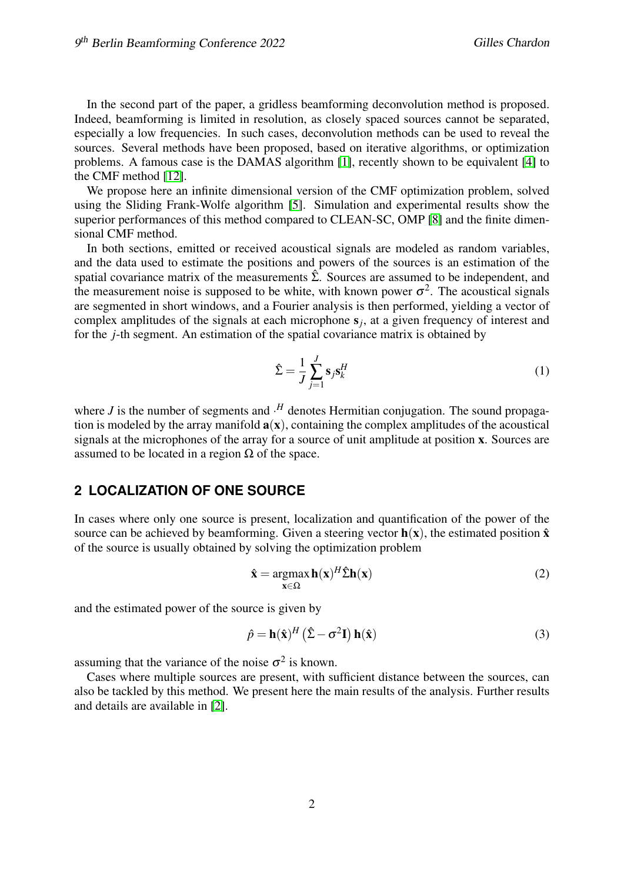In the second part of the paper, a gridless beamforming deconvolution method is proposed. Indeed, beamforming is limited in resolution, as closely spaced sources cannot be separated, especially a low frequencies. In such cases, deconvolution methods can be used to reveal the sources. Several methods have been proposed, based on iterative algorithms, or optimization problems. A famous case is the DAMAS algorithm [\[1\]](#page-10-2), recently shown to be equivalent [\[4\]](#page-10-3) to the CMF method [\[12\]](#page-11-0).

We propose here an infinite dimensional version of the CMF optimization problem, solved using the Sliding Frank-Wolfe algorithm [\[5\]](#page-10-4). Simulation and experimental results show the superior performances of this method compared to CLEAN-SC, OMP [\[8\]](#page-10-5) and the finite dimensional CMF method.

In both sections, emitted or received acoustical signals are modeled as random variables, and the data used to estimate the positions and powers of the sources is an estimation of the spatial covariance matrix of the measurements  $\hat{\Sigma}$ . Sources are assumed to be independent, and the measurement noise is supposed to be white, with known power  $\sigma^2$ . The acoustical signals are segmented in short windows, and a Fourier analysis is then performed, yielding a vector of complex amplitudes of the signals at each microphone s*<sup>j</sup>* , at a given frequency of interest and for the *j*-th segment. An estimation of the spatial covariance matrix is obtained by

$$
\hat{\Sigma} = \frac{1}{J} \sum_{j=1}^{J} \mathbf{s}_j \mathbf{s}_k^H
$$
 (1)

where  $J$  is the number of segments and  $\cdot$ <sup>H</sup> denotes Hermitian conjugation. The sound propagation is modeled by the array manifold  $a(x)$ , containing the complex amplitudes of the acoustical signals at the microphones of the array for a source of unit amplitude at position x. Sources are assumed to be located in a region  $\Omega$  of the space.

# **2 LOCALIZATION OF ONE SOURCE**

In cases where only one source is present, localization and quantification of the power of the source can be achieved by beamforming. Given a steering vector  $h(x)$ , the estimated position  $\hat{x}$ of the source is usually obtained by solving the optimization problem

$$
\hat{\mathbf{x}} = \underset{\mathbf{x} \in \Omega}{\operatorname{argmax}} \, \mathbf{h}(\mathbf{x})^H \hat{\Sigma} \mathbf{h}(\mathbf{x}) \tag{2}
$$

and the estimated power of the source is given by

$$
\hat{p} = \mathbf{h}(\hat{\mathbf{x}})^H (\hat{\Sigma} - \sigma^2 \mathbf{I}) \mathbf{h}(\hat{\mathbf{x}})
$$
\n(3)

assuming that the variance of the noise  $\sigma^2$  is known.

Cases where multiple sources are present, with sufficient distance between the sources, can also be tackled by this method. We present here the main results of the analysis. Further results and details are available in [\[2\]](#page-10-1).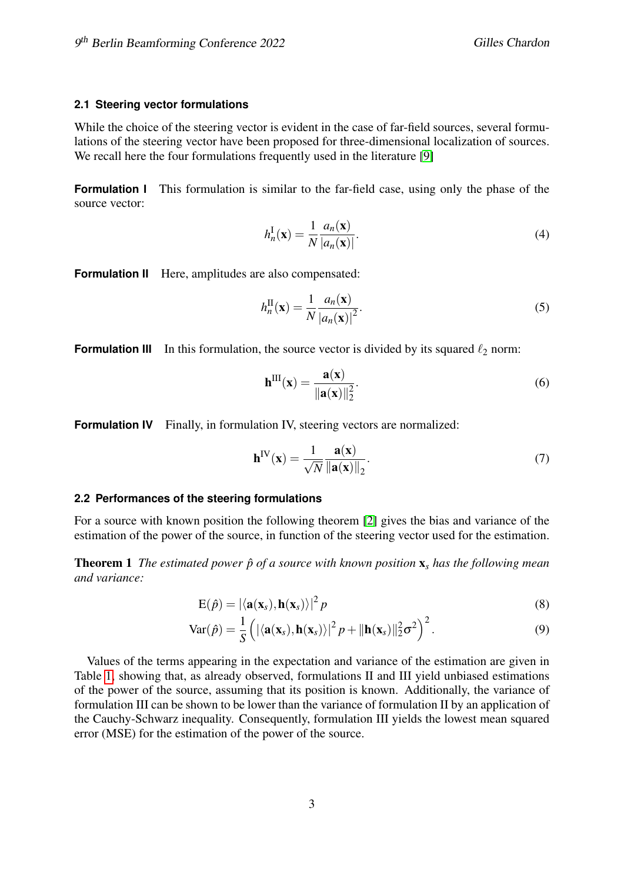## **2.1 Steering vector formulations**

While the choice of the steering vector is evident in the case of far-field sources, several formulations of the steering vector have been proposed for three-dimensional localization of sources. We recall here the four formulations frequently used in the literature [\[9\]](#page-10-0)

**Formulation I** This formulation is similar to the far-field case, using only the phase of the source vector:

$$
h_n^{\mathbf{I}}(\mathbf{x}) = \frac{1}{N} \frac{a_n(\mathbf{x})}{|a_n(\mathbf{x})|}.
$$
 (4)

**Formulation II** Here, amplitudes are also compensated:

$$
h_n^{\text{II}}(\mathbf{x}) = \frac{1}{N} \frac{a_n(\mathbf{x})}{|a_n(\mathbf{x})|^2}.
$$
 (5)

**Formulation III** In this formulation, the source vector is divided by its squared  $\ell_2$  norm:

$$
\mathbf{h}^{\mathrm{III}}(\mathbf{x}) = \frac{\mathbf{a}(\mathbf{x})}{\|\mathbf{a}(\mathbf{x})\|_2^2}.
$$
 (6)

**Formulation IV** Finally, in formulation IV, steering vectors are normalized:

$$
\mathbf{h}^{\text{IV}}(\mathbf{x}) = \frac{1}{\sqrt{N}} \frac{\mathbf{a}(\mathbf{x})}{\|\mathbf{a}(\mathbf{x})\|_2}.
$$
 (7)

#### **2.2 Performances of the steering formulations**

For a source with known position the following theorem [\[2\]](#page-10-1) gives the bias and variance of the estimation of the power of the source, in function of the steering vector used for the estimation.

**Theorem 1** *The estimated power*  $\hat{p}$  *of a source with known position*  $\mathbf{x}_s$  *has the following mean and variance:*

$$
E(\hat{p}) = |\langle \mathbf{a}(\mathbf{x}_s), \mathbf{h}(\mathbf{x}_s) \rangle|^2 p \tag{8}
$$

$$
\text{Var}(\hat{p}) = \frac{1}{S} \left( \left| \langle \mathbf{a}(\mathbf{x}_s), \mathbf{h}(\mathbf{x}_s) \rangle \right|^2 p + \|\mathbf{h}(\mathbf{x}_s)\|_2^2 \sigma^2 \right)^2. \tag{9}
$$

Values of the terms appearing in the expectation and variance of the estimation are given in Table [1,](#page-3-0) showing that, as already observed, formulations II and III yield unbiased estimations of the power of the source, assuming that its position is known. Additionally, the variance of formulation III can be shown to be lower than the variance of formulation II by an application of the Cauchy-Schwarz inequality. Consequently, formulation III yields the lowest mean squared error (MSE) for the estimation of the power of the source.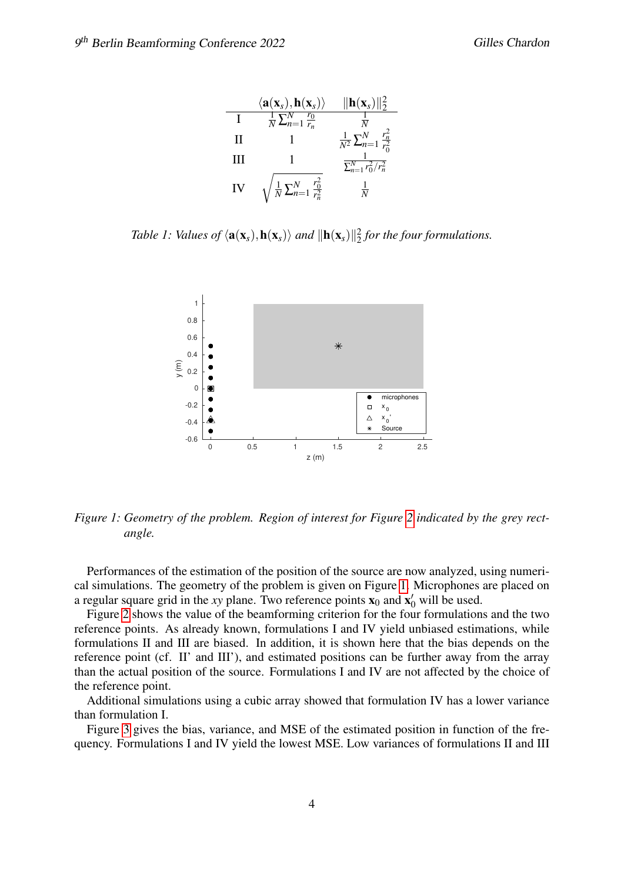|    | $\langle \mathbf{a}(\mathbf{x}_s), \mathbf{h}(\mathbf{x}_s) \rangle$ | $\ \mathbf{h}(\mathbf{x}_s)\ _2^2$               |
|----|----------------------------------------------------------------------|--------------------------------------------------|
| T  | $\frac{1}{N}\sum_{n=1}^{N}\frac{r_0}{r_n}$                           |                                                  |
| H  |                                                                      | $\frac{1}{N^2}\sum_{n=1}^{N}\frac{r_n^2}{r_0^2}$ |
| Ш  |                                                                      | $\sum_{n=1}^{N} r_0^2/r_n^2$                     |
| IV | $\sqrt{\frac{1}{N}\sum_{n=1}^{N}\frac{r_0^2}{r_n^2}}$                | $\frac{1}{N}$                                    |

<span id="page-3-0"></span>*Table 1: Values of*  $\langle \mathbf{a}(\mathbf{x}_s), \mathbf{h}(\mathbf{x}_s) \rangle$  *and*  $\|\mathbf{h}(\mathbf{x}_s)\|^2_2$  *for the four formulations.* 



<span id="page-3-1"></span>*Figure 1: Geometry of the problem. Region of interest for Figure [2](#page-4-0) indicated by the grey rectangle.*

Performances of the estimation of the position of the source are now analyzed, using numerical simulations. The geometry of the problem is given on Figure [1.](#page-3-1) Microphones are placed on a regular square grid in the *xy* plane. Two reference points  $\mathbf{x}_0$  and  $\mathbf{x}'_0$  will be used.

Figure [2](#page-4-0) shows the value of the beamforming criterion for the four formulations and the two reference points. As already known, formulations I and IV yield unbiased estimations, while formulations II and III are biased. In addition, it is shown here that the bias depends on the reference point (cf. II' and III'), and estimated positions can be further away from the array than the actual position of the source. Formulations I and IV are not affected by the choice of the reference point.

Additional simulations using a cubic array showed that formulation IV has a lower variance than formulation I.

Figure [3](#page-4-1) gives the bias, variance, and MSE of the estimated position in function of the frequency. Formulations I and IV yield the lowest MSE. Low variances of formulations II and III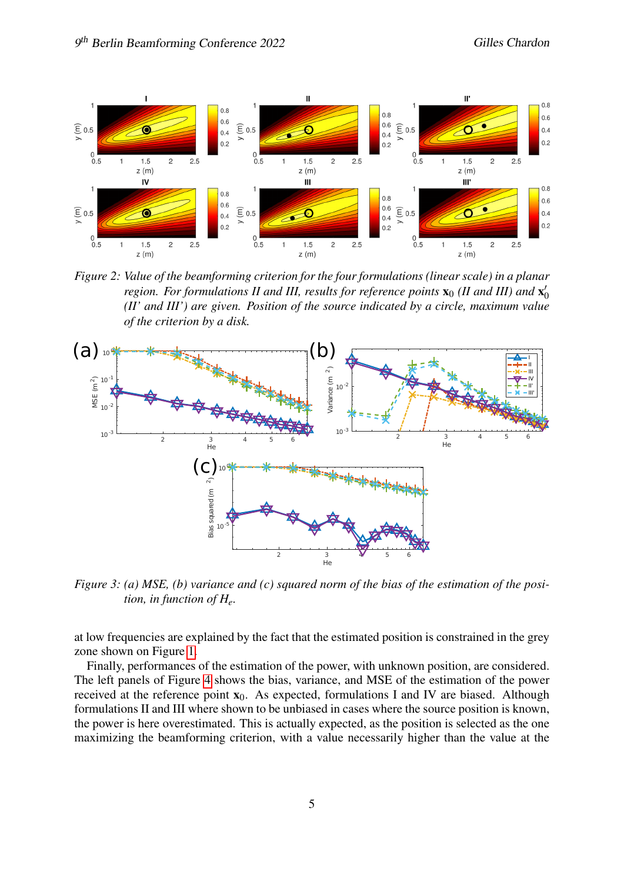

<span id="page-4-0"></span>*Figure 2: Value of the beamforming criterion for the four formulations (linear scale) in a planar region. For formulations II and III, results for reference points*  $\mathbf{x}_0$  (*II and III) and*  $\mathbf{x}'_0$ 0 *(II' and III') are given. Position of the source indicated by a circle, maximum value of the criterion by a disk.*



<span id="page-4-1"></span>*Figure 3: (a) MSE, (b) variance and (c) squared norm of the bias of the estimation of the position, in function of He.*

at low frequencies are explained by the fact that the estimated position is constrained in the grey zone shown on Figure [1.](#page-3-1)

Finally, performances of the estimation of the power, with unknown position, are considered. The left panels of Figure [4](#page-5-0) shows the bias, variance, and MSE of the estimation of the power received at the reference point  $x_0$ . As expected, formulations I and IV are biased. Although formulations II and III where shown to be unbiased in cases where the source position is known, the power is here overestimated. This is actually expected, as the position is selected as the one maximizing the beamforming criterion, with a value necessarily higher than the value at the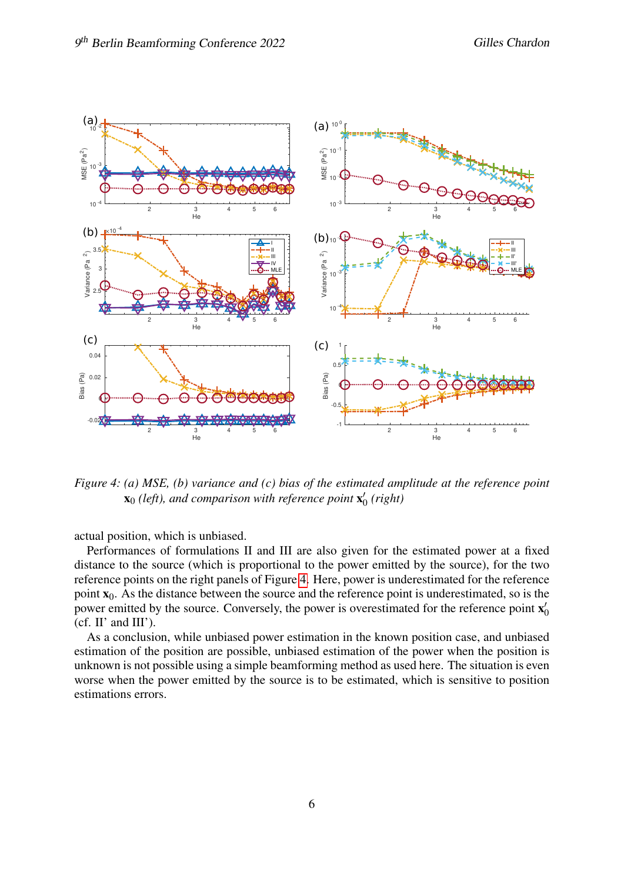

<span id="page-5-0"></span>*Figure 4: (a) MSE, (b) variance and (c) bias of the estimated amplitude at the reference point*  $\mathbf{x}_0$  (left), and comparison with reference point  $\mathbf{x}'_0$ 0 *(right)*

actual position, which is unbiased.

Performances of formulations II and III are also given for the estimated power at a fixed distance to the source (which is proportional to the power emitted by the source), for the two reference points on the right panels of Figure [4.](#page-5-0) Here, power is underestimated for the reference point  $x_0$ . As the distance between the source and the reference point is underestimated, so is the power emitted by the source. Conversely, the power is overestimated for the reference point  $x'$ 0  $(cf. II'$  and  $III'$ ).

As a conclusion, while unbiased power estimation in the known position case, and unbiased estimation of the position are possible, unbiased estimation of the power when the position is unknown is not possible using a simple beamforming method as used here. The situation is even worse when the power emitted by the source is to be estimated, which is sensitive to position estimations errors.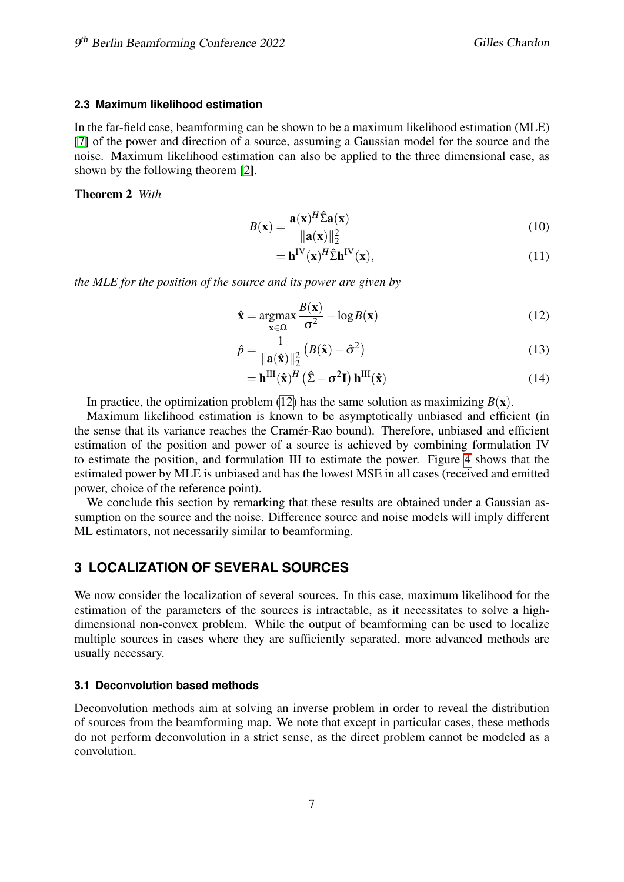## **2.3 Maximum likelihood estimation**

In the far-field case, beamforming can be shown to be a maximum likelihood estimation (MLE) [\[7\]](#page-10-6) of the power and direction of a source, assuming a Gaussian model for the source and the noise. Maximum likelihood estimation can also be applied to the three dimensional case, as shown by the following theorem [\[2\]](#page-10-1).

Theorem 2 *With*

$$
B(\mathbf{x}) = \frac{\mathbf{a}(\mathbf{x})^H \hat{\Sigma} \mathbf{a}(\mathbf{x})}{\|\mathbf{a}(\mathbf{x})\|_2^2}
$$
(10)

<span id="page-6-0"></span>
$$
= \mathbf{h}^{\mathrm{IV}}(\mathbf{x})^H \hat{\Sigma} \mathbf{h}^{\mathrm{IV}}(\mathbf{x}),\tag{11}
$$

*the MLE for the position of the source and its power are given by*

$$
\hat{\mathbf{x}} = \underset{\mathbf{x} \in \Omega}{\operatorname{argmax}} \frac{B(\mathbf{x})}{\sigma^2} - \log B(\mathbf{x}) \tag{12}
$$

$$
\hat{p} = \frac{1}{\|\mathbf{a}(\hat{\mathbf{x}})\|_2^2} \left( B(\hat{\mathbf{x}}) - \hat{\sigma}^2 \right)
$$
(13)

$$
= \mathbf{h}^{\mathrm{III}}(\hat{\mathbf{x}})^{H} (\hat{\Sigma} - \sigma^{2} \mathbf{I}) \mathbf{h}^{\mathrm{III}}(\hat{\mathbf{x}})
$$
 (14)

In practice, the optimization problem [\(12\)](#page-6-0) has the same solution as maximizing  $B(x)$ .

Maximum likelihood estimation is known to be asymptotically unbiased and efficient (in the sense that its variance reaches the Cramér-Rao bound). Therefore, unbiased and efficient estimation of the position and power of a source is achieved by combining formulation IV to estimate the position, and formulation III to estimate the power. Figure [4](#page-5-0) shows that the estimated power by MLE is unbiased and has the lowest MSE in all cases (received and emitted power, choice of the reference point).

We conclude this section by remarking that these results are obtained under a Gaussian assumption on the source and the noise. Difference source and noise models will imply different ML estimators, not necessarily similar to beamforming.

# **3 LOCALIZATION OF SEVERAL SOURCES**

We now consider the localization of several sources. In this case, maximum likelihood for the estimation of the parameters of the sources is intractable, as it necessitates to solve a highdimensional non-convex problem. While the output of beamforming can be used to localize multiple sources in cases where they are sufficiently separated, more advanced methods are usually necessary.

### **3.1 Deconvolution based methods**

Deconvolution methods aim at solving an inverse problem in order to reveal the distribution of sources from the beamforming map. We note that except in particular cases, these methods do not perform deconvolution in a strict sense, as the direct problem cannot be modeled as a convolution.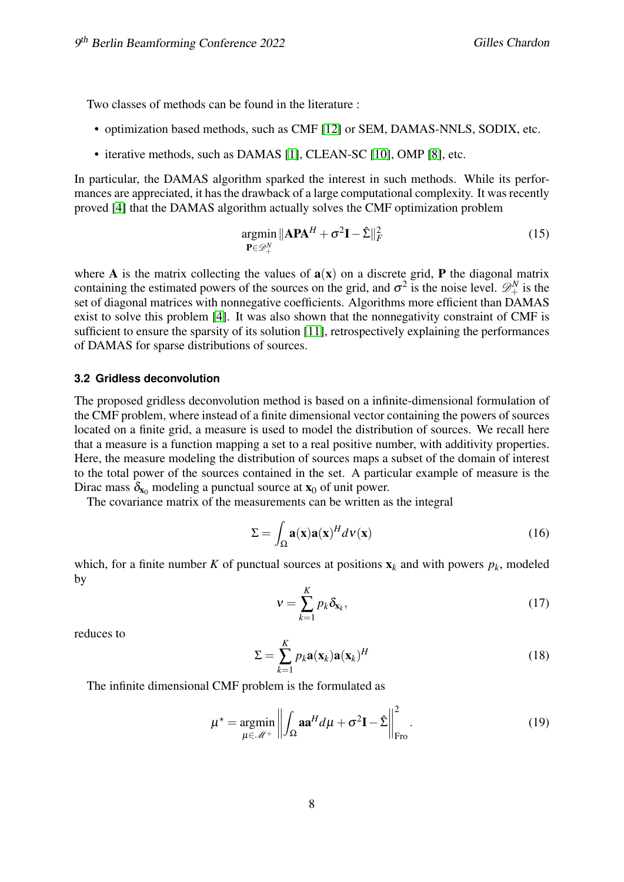Two classes of methods can be found in the literature :

- optimization based methods, such as CMF [\[12\]](#page-11-0) or SEM, DAMAS-NNLS, SODIX, etc.
- iterative methods, such as DAMAS [\[1\]](#page-10-2), CLEAN-SC [\[10\]](#page-11-1), OMP [\[8\]](#page-10-5), etc.

In particular, the DAMAS algorithm sparked the interest in such methods. While its performances are appreciated, it has the drawback of a large computational complexity. It was recently proved [\[4\]](#page-10-3) that the DAMAS algorithm actually solves the CMF optimization problem

$$
\underset{\mathbf{P}\in\mathscr{D}_{+}^{N}}{\operatorname{argmin}}\|\mathbf{A}\mathbf{P}\mathbf{A}^{H}+\sigma^{2}\mathbf{I}-\hat{\Sigma}\|_{F}^{2}
$$
\n(15)

where **A** is the matrix collecting the values of  $a(x)$  on a discrete grid, **P** the diagonal matrix containing the estimated powers of the sources on the grid, and  $\sigma^2$  is the noise level.  $\mathscr{D}_{+}^N$  is the set of diagonal matrices with nonnegative coefficients. Algorithms more efficient than DAMAS exist to solve this problem [\[4\]](#page-10-3). It was also shown that the nonnegativity constraint of CMF is sufficient to ensure the sparsity of its solution [\[11\]](#page-11-2), retrospectively explaining the performances of DAMAS for sparse distributions of sources.

#### **3.2 Gridless deconvolution**

The proposed gridless deconvolution method is based on a infinite-dimensional formulation of the CMF problem, where instead of a finite dimensional vector containing the powers of sources located on a finite grid, a measure is used to model the distribution of sources. We recall here that a measure is a function mapping a set to a real positive number, with additivity properties. Here, the measure modeling the distribution of sources maps a subset of the domain of interest to the total power of the sources contained in the set. A particular example of measure is the Dirac mass  $\delta_{x_0}$  modeling a punctual source at  $x_0$  of unit power.

The covariance matrix of the measurements can be written as the integral

$$
\Sigma = \int_{\Omega} \mathbf{a}(\mathbf{x}) \mathbf{a}(\mathbf{x})^H d\mathbf{v}(\mathbf{x}) \tag{16}
$$

which, for a finite number *K* of punctual sources at positions  $\mathbf{x}_k$  and with powers  $p_k$ , modeled by

<span id="page-7-0"></span>
$$
v = \sum_{k=1}^{K} p_k \delta_{\mathbf{x}_k},
$$
\n(17)

reduces to

$$
\Sigma = \sum_{k=1}^{K} p_k \mathbf{a}(\mathbf{x}_k) \mathbf{a}(\mathbf{x}_k)^H
$$
 (18)

The infinite dimensional CMF problem is the formulated as

$$
\mu^* = \underset{\mu \in \mathcal{M}^+}{\operatorname{argmin}} \left\| \int_{\Omega} \mathbf{a} \mathbf{a}^H d\mu + \sigma^2 \mathbf{I} - \hat{\Sigma} \right\|_{\text{Fro}}^2.
$$
 (19)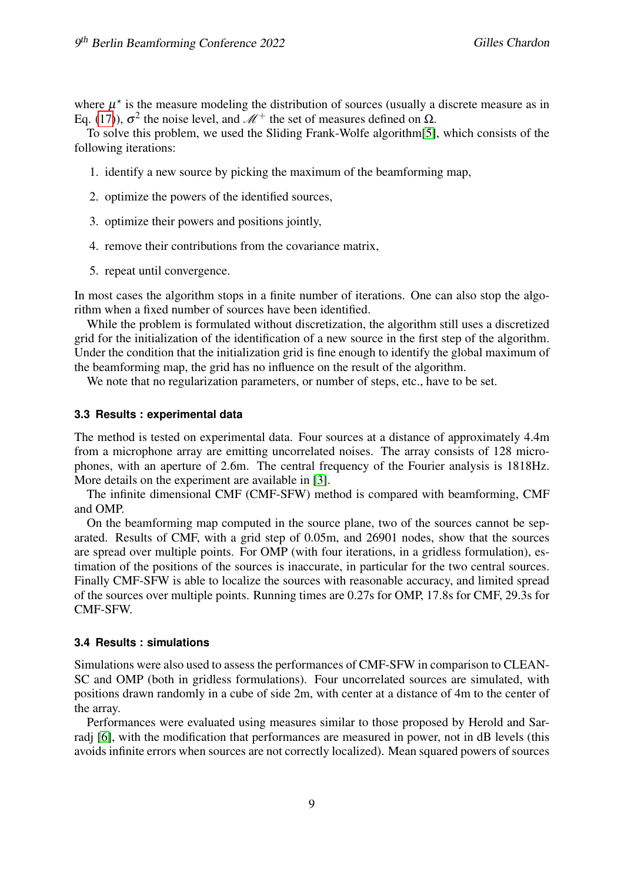where  $\mu^*$  is the measure modeling the distribution of sources (usually a discrete measure as in Eq. [\(17\)](#page-7-0)),  $\sigma^2$  the noise level, and  $\mathcal{M}^+$  the set of measures defined on  $\Omega$ .

To solve this problem, we used the Sliding Frank-Wolfe algorithm[\[5\]](#page-10-4), which consists of the following iterations:

- 1. identify a new source by picking the maximum of the beamforming map,
- 2. optimize the powers of the identified sources,
- 3. optimize their powers and positions jointly,
- 4. remove their contributions from the covariance matrix,
- 5. repeat until convergence.

In most cases the algorithm stops in a finite number of iterations. One can also stop the algorithm when a fixed number of sources have been identified.

While the problem is formulated without discretization, the algorithm still uses a discretized grid for the initialization of the identification of a new source in the first step of the algorithm. Under the condition that the initialization grid is fine enough to identify the global maximum of the beamforming map, the grid has no influence on the result of the algorithm.

We note that no regularization parameters, or number of steps, etc., have to be set.

#### **3.3 Results : experimental data**

The method is tested on experimental data. Four sources at a distance of approximately 4.4m from a microphone array are emitting uncorrelated noises. The array consists of 128 microphones, with an aperture of 2.6m. The central frequency of the Fourier analysis is 1818Hz. More details on the experiment are available in [\[3\]](#page-10-7).

The infinite dimensional CMF (CMF-SFW) method is compared with beamforming, CMF and OMP.

On the beamforming map computed in the source plane, two of the sources cannot be separated. Results of CMF, with a grid step of 0.05m, and 26901 nodes, show that the sources are spread over multiple points. For OMP (with four iterations, in a gridless formulation), estimation of the positions of the sources is inaccurate, in particular for the two central sources. Finally CMF-SFW is able to localize the sources with reasonable accuracy, and limited spread of the sources over multiple points. Running times are 0.27s for OMP, 17.8s for CMF, 29.3s for CMF-SFW.

## **3.4 Results : simulations**

Simulations were also used to assess the performances of CMF-SFW in comparison to CLEAN-SC and OMP (both in gridless formulations). Four uncorrelated sources are simulated, with positions drawn randomly in a cube of side 2m, with center at a distance of 4m to the center of the array.

Performances were evaluated using measures similar to those proposed by Herold and Sar-radj [\[6\]](#page-10-8), with the modification that performances are measured in power, not in dB levels (this avoids infinite errors when sources are not correctly localized). Mean squared powers of sources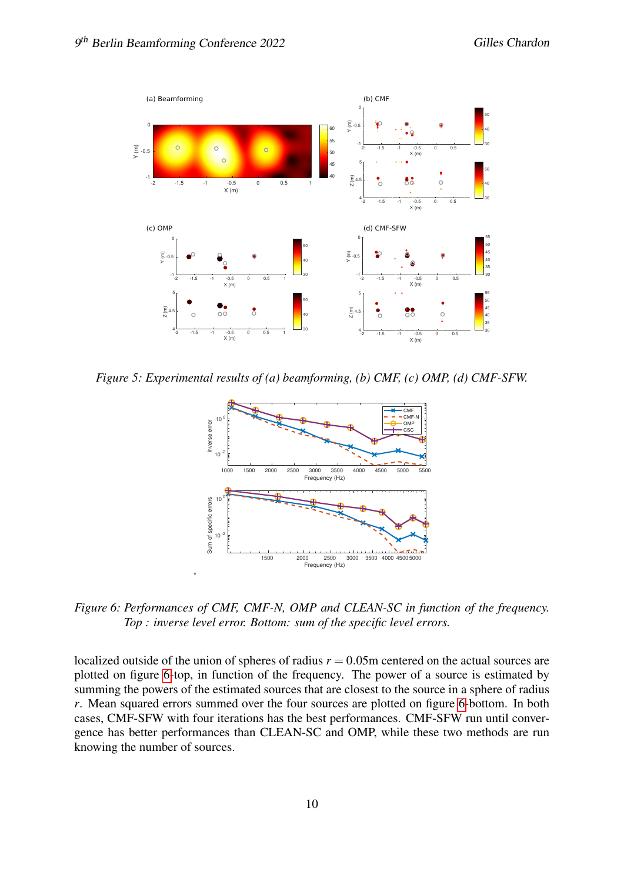

*Figure 5: Experimental results of (a) beamforming, (b) CMF, (c) OMP, (d) CMF-SFW.*



<span id="page-9-0"></span>*Figure 6: Performances of CMF, CMF-N, OMP and CLEAN-SC in function of the frequency. Top : inverse level error. Bottom: sum of the specific level errors.*

localized outside of the union of spheres of radius  $r = 0.05$ m centered on the actual sources are plotted on figure [6-](#page-9-0)top, in function of the frequency. The power of a source is estimated by summing the powers of the estimated sources that are closest to the source in a sphere of radius *r*. Mean squared errors summed over the four sources are plotted on figure [6-](#page-9-0)bottom. In both cases, CMF-SFW with four iterations has the best performances. CMF-SFW run until convergence has better performances than CLEAN-SC and OMP, while these two methods are run knowing the number of sources.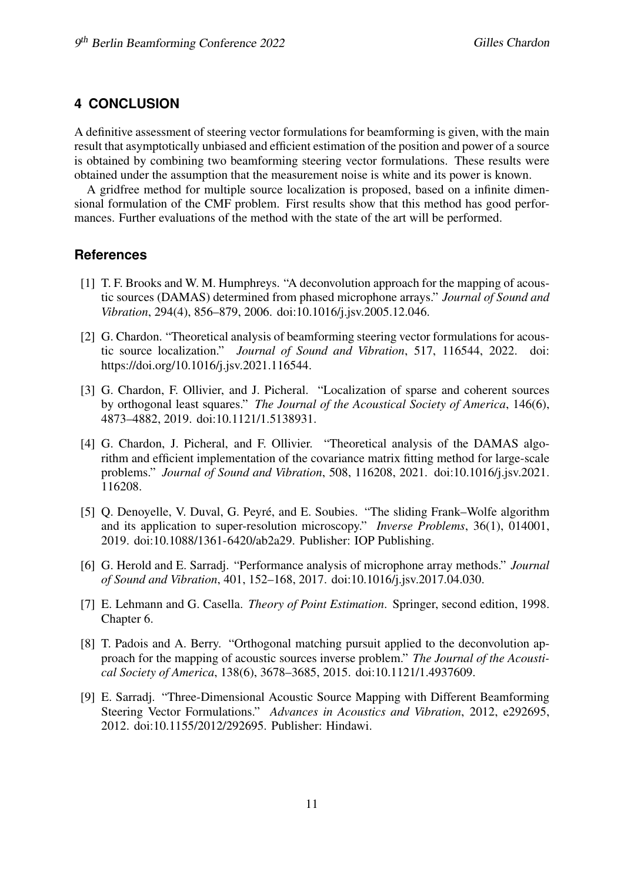# **4 CONCLUSION**

A definitive assessment of steering vector formulations for beamforming is given, with the main result that asymptotically unbiased and efficient estimation of the position and power of a source is obtained by combining two beamforming steering vector formulations. These results were obtained under the assumption that the measurement noise is white and its power is known.

A gridfree method for multiple source localization is proposed, based on a infinite dimensional formulation of the CMF problem. First results show that this method has good performances. Further evaluations of the method with the state of the art will be performed.

## **References**

- <span id="page-10-2"></span>[1] T. F. Brooks and W. M. Humphreys. "A deconvolution approach for the mapping of acoustic sources (DAMAS) determined from phased microphone arrays." *Journal of Sound and Vibration*, 294(4), 856–879, 2006. doi:10.1016/j.jsv.2005.12.046.
- <span id="page-10-1"></span>[2] G. Chardon. "Theoretical analysis of beamforming steering vector formulations for acoustic source localization." *Journal of Sound and Vibration*, 517, 116544, 2022. doi: https://doi.org/10.1016/j.jsv.2021.116544.
- <span id="page-10-7"></span>[3] G. Chardon, F. Ollivier, and J. Picheral. "Localization of sparse and coherent sources by orthogonal least squares." *The Journal of the Acoustical Society of America*, 146(6), 4873–4882, 2019. doi:10.1121/1.5138931.
- <span id="page-10-3"></span>[4] G. Chardon, J. Picheral, and F. Ollivier. "Theoretical analysis of the DAMAS algorithm and efficient implementation of the covariance matrix fitting method for large-scale problems." *Journal of Sound and Vibration*, 508, 116208, 2021. doi:10.1016/j.jsv.2021. 116208.
- <span id="page-10-4"></span>[5] Q. Denoyelle, V. Duval, G. Peyré, and E. Soubies. "The sliding Frank–Wolfe algorithm and its application to super-resolution microscopy." *Inverse Problems*, 36(1), 014001, 2019. doi:10.1088/1361-6420/ab2a29. Publisher: IOP Publishing.
- <span id="page-10-8"></span>[6] G. Herold and E. Sarradj. "Performance analysis of microphone array methods." *Journal of Sound and Vibration*, 401, 152–168, 2017. doi:10.1016/j.jsv.2017.04.030.
- <span id="page-10-6"></span>[7] E. Lehmann and G. Casella. *Theory of Point Estimation*. Springer, second edition, 1998. Chapter 6.
- <span id="page-10-5"></span>[8] T. Padois and A. Berry. "Orthogonal matching pursuit applied to the deconvolution approach for the mapping of acoustic sources inverse problem." *The Journal of the Acoustical Society of America*, 138(6), 3678–3685, 2015. doi:10.1121/1.4937609.
- <span id="page-10-0"></span>[9] E. Sarradj. "Three-Dimensional Acoustic Source Mapping with Different Beamforming Steering Vector Formulations." *Advances in Acoustics and Vibration*, 2012, e292695, 2012. doi:10.1155/2012/292695. Publisher: Hindawi.